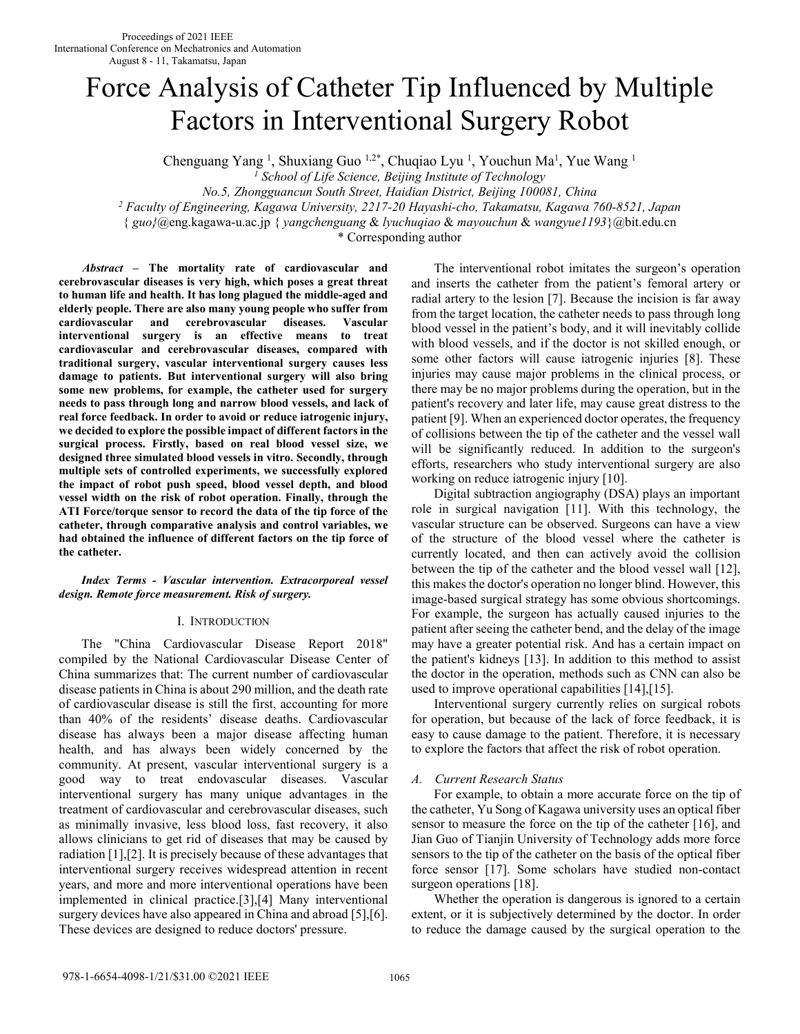# Force Analysis of Catheter Tip Influenced by Multiple Factors in Interventional Surgery Robot

Chenguang Yang<sup>1</sup>, Shuxiang Guo<sup>1,2\*</sup>, Chuqiao Lyu<sup>1</sup>, Youchun Ma<sup>1</sup>, Yue Wang<sup>1</sup>

*1 School of Life Science, Beijing Institute of Technology* 

*No.5, Zhongguancun South Street, Haidian District, Beijing 100081, China* 

*2 Faculty of Engineering, Kagawa University, 2217-20 Hayashi-cho, Takamatsu, Kagawa 760-8521, Japan* 

{ *guo}*@eng.kagawa-u.ac.jp { *yangchenguang* & *lyuchuqiao* & *mayouchun* & *wangyue1193*}@bit.edu.cn

\* Corresponding author

*Abstract* **– The mortality rate of cardiovascular and cerebrovascular diseases is very high, which poses a great threat to human life and health. It has long plagued the middle-aged and elderly people. There are also many young people who suffer from cardiovascular and cerebrovascular diseases. Vascular interventional surgery is an effective means to treat cardiovascular and cerebrovascular diseases, compared with traditional surgery, vascular interventional surgery causes less damage to patients. But interventional surgery will also bring some new problems, for example, the catheter used for surgery needs to pass through long and narrow blood vessels, and lack of real force feedback. In order to avoid or reduce iatrogenic injury, we decided to explore the possible impact of different factors in the surgical process. Firstly, based on real blood vessel size, we designed three simulated blood vessels in vitro. Secondly, through multiple sets of controlled experiments, we successfully explored the impact of robot push speed, blood vessel depth, and blood vessel width on the risk of robot operation. Finally, through the ATI Force/torque sensor to record the data of the tip force of the catheter, through comparative analysis and control variables, we had obtained the influence of different factors on the tip force of the catheter.** 

# *Index Terms - Vascular intervention. Extracorporeal vessel design. Remote force measurement. Risk of surgery.*

# I. INTRODUCTION

 The "China Cardiovascular Disease Report 2018" compiled by the National Cardiovascular Disease Center of China summarizes that: The current number of cardiovascular disease patients in China is about 290 million, and the death rate of cardiovascular disease is still the first, accounting for more than 40% of the residents' disease deaths. Cardiovascular disease has always been a major disease affecting human health, and has always been widely concerned by the community. At present, vascular interventional surgery is a good way to treat endovascular diseases. Vascular interventional surgery has many unique advantages in the treatment of cardiovascular and cerebrovascular diseases, such as minimally invasive, less blood loss, fast recovery, it also allows clinicians to get rid of diseases that may be caused by radiation [1],[2]. It is precisely because of these advantages that interventional surgery receives widespread attention in recent years, and more and more interventional operations have been implemented in clinical practice.[3],[4] Many interventional surgery devices have also appeared in China and abroad [5],[6]. These devices are designed to reduce doctors' pressure.

 The interventional robot imitates the surgeon's operation and inserts the catheter from the patient's femoral artery or radial artery to the lesion [7]. Because the incision is far away from the target location, the catheter needs to pass through long blood vessel in the patient's body, and it will inevitably collide with blood vessels, and if the doctor is not skilled enough, or some other factors will cause iatrogenic injuries [8]. These injuries may cause major problems in the clinical process, or there may be no major problems during the operation, but in the patient's recovery and later life, may cause great distress to the patient [9]. When an experienced doctor operates, the frequency of collisions between the tip of the catheter and the vessel wall will be significantly reduced. In addition to the surgeon's efforts, researchers who study interventional surgery are also working on reduce iatrogenic injury [10].

Digital subtraction angiography (DSA) plays an important role in surgical navigation [11]. With this technology, the vascular structure can be observed. Surgeons can have a view of the structure of the blood vessel where the catheter is currently located, and then can actively avoid the collision between the tip of the catheter and the blood vessel wall [12], this makes the doctor's operation no longer blind. However, this image-based surgical strategy has some obvious shortcomings. For example, the surgeon has actually caused injuries to the patient after seeing the catheter bend, and the delay of the image may have a greater potential risk. And has a certain impact on the patient's kidneys [13]. In addition to this method to assist the doctor in the operation, methods such as CNN can also be used to improve operational capabilities [14],[15].

Interventional surgery currently relies on surgical robots for operation, but because of the lack of force feedback, it is easy to cause damage to the patient. Therefore, it is necessary to explore the factors that affect the risk of robot operation.

# *A. Current Research Status*

 For example, to obtain a more accurate force on the tip of the catheter, Yu Song of Kagawa university uses an optical fiber sensor to measure the force on the tip of the catheter [16], and Jian Guo of Tianjin University of Technology adds more force sensors to the tip of the catheter on the basis of the optical fiber force sensor [17]. Some scholars have studied non-contact surgeon operations [18].

 Whether the operation is dangerous is ignored to a certain extent, or it is subjectively determined by the doctor. In order to reduce the damage caused by the surgical operation to the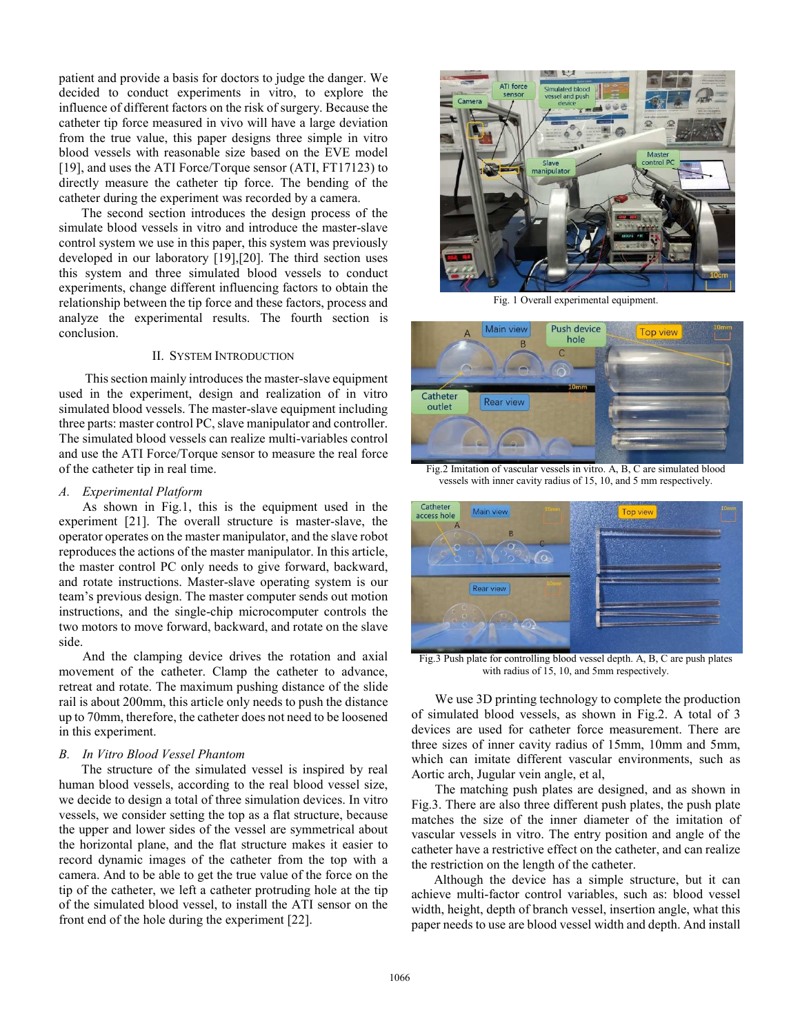patient and provide a basis for doctors to judge the danger. We decided to conduct experiments in vitro, to explore the influence of different factors on the risk of surgery. Because the catheter tip force measured in vivo will have a large deviation from the true value, this paper designs three simple in vitro blood vessels with reasonable size based on the EVE model [19], and uses the ATI Force/Torque sensor (ATI, FT17123) to directly measure the catheter tip force. The bending of the catheter during the experiment was recorded by a camera.

The second section introduces the design process of the simulate blood vessels in vitro and introduce the master-slave control system we use in this paper, this system was previously developed in our laboratory [19],[20]. The third section uses this system and three simulated blood vessels to conduct experiments, change different influencing factors to obtain the relationship between the tip force and these factors, process and analyze the experimental results. The fourth section is conclusion.

# II. SYSTEM INTRODUCTION

This section mainly introduces the master-slave equipment used in the experiment, design and realization of in vitro simulated blood vessels. The master-slave equipment including three parts: master control PC, slave manipulator and controller. The simulated blood vessels can realize multi-variables control and use the ATI Force/Torque sensor to measure the real force of the catheter tip in real time.

# *A. Experimental Platform*

 As shown in Fig.1, this is the equipment used in the experiment [21]. The overall structure is master-slave, the operator operates on the master manipulator, and the slave robot reproduces the actions of the master manipulator. In this article, the master control PC only needs to give forward, backward, and rotate instructions. Master-slave operating system is our team's previous design. The master computer sends out motion instructions, and the single-chip microcomputer controls the two motors to move forward, backward, and rotate on the slave side.

 And the clamping device drives the rotation and axial movement of the catheter. Clamp the catheter to advance, retreat and rotate. The maximum pushing distance of the slide rail is about 200mm, this article only needs to push the distance up to 70mm, therefore, the catheter does not need to be loosened in this experiment.

# *B. In Vitro Blood Vessel Phantom*

 The structure of the simulated vessel is inspired by real human blood vessels, according to the real blood vessel size, we decide to design a total of three simulation devices. In vitro vessels, we consider setting the top as a flat structure, because the upper and lower sides of the vessel are symmetrical about the horizontal plane, and the flat structure makes it easier to record dynamic images of the catheter from the top with a camera. And to be able to get the true value of the force on the tip of the catheter, we left a catheter protruding hole at the tip of the simulated blood vessel, to install the ATI sensor on the front end of the hole during the experiment [22].



Fig. 1 Overall experimental equipment.



Fig.2 Imitation of vascular vessels in vitro. A, B, C are simulated blood vessels with inner cavity radius of 15, 10, and 5 mm respectively.



Fig.3 Push plate for controlling blood vessel depth. A, B, C are push plates with radius of 15, 10, and 5mm respectively.

 We use 3D printing technology to complete the production of simulated blood vessels, as shown in Fig.2. A total of 3 devices are used for catheter force measurement. There are three sizes of inner cavity radius of 15mm, 10mm and 5mm, which can imitate different vascular environments, such as Aortic arch, Jugular vein angle, et al,

 The matching push plates are designed, and as shown in Fig.3. There are also three different push plates, the push plate matches the size of the inner diameter of the imitation of vascular vessels in vitro. The entry position and angle of the catheter have a restrictive effect on the catheter, and can realize the restriction on the length of the catheter.

 Although the device has a simple structure, but it can achieve multi-factor control variables, such as: blood vessel width, height, depth of branch vessel, insertion angle, what this paper needs to use are blood vessel width and depth. And install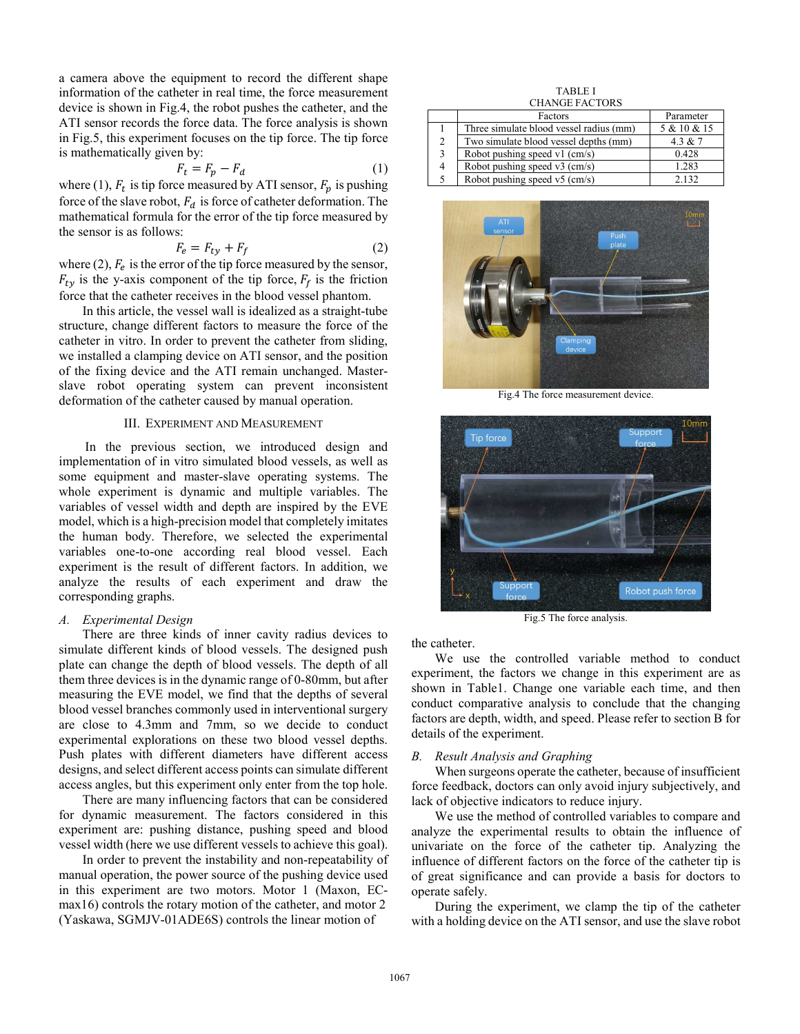a camera above the equipment to record the different shape information of the catheter in real time, the force measurement device is shown in Fig.4, the robot pushes the catheter, and the ATI sensor records the force data. The force analysis is shown in Fig.5, this experiment focuses on the tip force. The tip force is mathematically given by:

$$
F_t = F_p - F_d \tag{1}
$$

where (1),  $F_t$  is tip force measured by ATI sensor,  $F_p$  is pushing force of the slave robot,  $F_d$  is force of catheter deformation. The mathematical formula for the error of the tip force measured by the sensor is as follows:

$$
F_e = F_{ty} + F_f \tag{2}
$$

where  $(2)$ ,  $F_e$  is the error of the tip force measured by the sensor,  $F_{ty}$  is the y-axis component of the tip force,  $F_f$  is the friction force that the catheter receives in the blood vessel phantom.

 In this article, the vessel wall is idealized as a straight-tube structure, change different factors to measure the force of the catheter in vitro. In order to prevent the catheter from sliding, we installed a clamping device on ATI sensor, and the position of the fixing device and the ATI remain unchanged. Masterslave robot operating system can prevent inconsistent deformation of the catheter caused by manual operation.

# III. EXPERIMENT AND MEASUREMENT

In the previous section, we introduced design and implementation of in vitro simulated blood vessels, as well as some equipment and master-slave operating systems. The whole experiment is dynamic and multiple variables. The variables of vessel width and depth are inspired by the EVE model, which is a high-precision model that completely imitates the human body. Therefore, we selected the experimental variables one-to-one according real blood vessel. Each experiment is the result of different factors. In addition, we analyze the results of each experiment and draw the corresponding graphs.

# *A. Experimental Design*

 There are three kinds of inner cavity radius devices to simulate different kinds of blood vessels. The designed push plate can change the depth of blood vessels. The depth of all them three devices is in the dynamic range of 0-80mm, but after measuring the EVE model, we find that the depths of several blood vessel branches commonly used in interventional surgery are close to 4.3mm and 7mm, so we decide to conduct experimental explorations on these two blood vessel depths. Push plates with different diameters have different access designs, and select different access points can simulate different access angles, but this experiment only enter from the top hole.

 There are many influencing factors that can be considered for dynamic measurement. The factors considered in this experiment are: pushing distance, pushing speed and blood vessel width (here we use different vessels to achieve this goal).

 In order to prevent the instability and non-repeatability of manual operation, the power source of the pushing device used in this experiment are two motors. Motor 1 (Maxon, ECmax16) controls the rotary motion of the catheter, and motor 2 (Yaskawa, SGMJV-01ADE6S) controls the linear motion of

|               | <b>TABLE I</b>                          |             |
|---------------|-----------------------------------------|-------------|
|               | <b>CHANGE FACTORS</b>                   |             |
|               | Factors                                 | Parameter   |
|               | Three simulate blood vessel radius (mm) | 5 & 10 & 15 |
| $\mathcal{L}$ | Two simulate blood vessel depths (mm)   | 4.3 & $7$   |
| 3             | Robot pushing speed $v1$ (cm/s)         | 0.428       |
|               | Robot pushing speed $v3$ (cm/s)         | 1.283       |

Robot pushing speed v5 (cm/s) 2.132



Fig.4 The force measurement device.



Fig.5 The force analysis.

the catheter.

 We use the controlled variable method to conduct experiment, the factors we change in this experiment are as shown in Table1. Change one variable each time, and then conduct comparative analysis to conclude that the changing factors are depth, width, and speed. Please refer to section B for details of the experiment.

### *B. Result Analysis and Graphing*

 When surgeons operate the catheter, because of insufficient force feedback, doctors can only avoid injury subjectively, and lack of objective indicators to reduce injury.

 We use the method of controlled variables to compare and analyze the experimental results to obtain the influence of univariate on the force of the catheter tip. Analyzing the influence of different factors on the force of the catheter tip is of great significance and can provide a basis for doctors to operate safely.

 During the experiment, we clamp the tip of the catheter with a holding device on the ATI sensor, and use the slave robot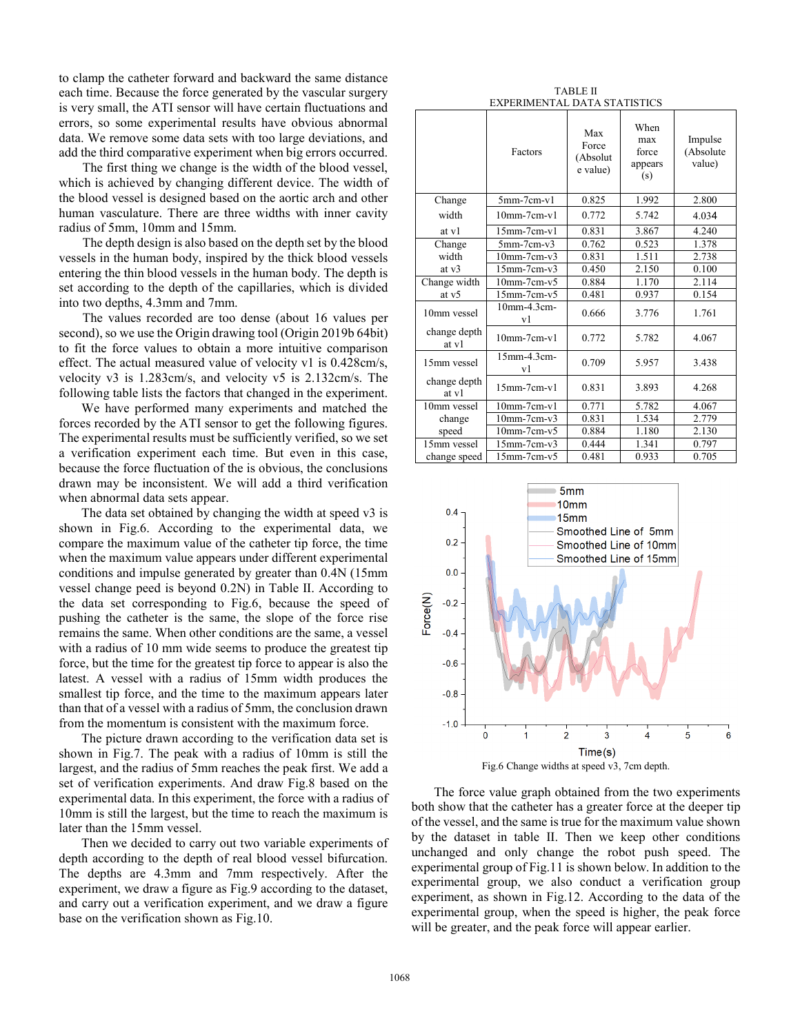to clamp the catheter forward and backward the same distance each time. Because the force generated by the vascular surgery is very small, the ATI sensor will have certain fluctuations and errors, so some experimental results have obvious abnormal data. We remove some data sets with too large deviations, and add the third comparative experiment when big errors occurred.

 The first thing we change is the width of the blood vessel, which is achieved by changing different device. The width of the blood vessel is designed based on the aortic arch and other human vasculature. There are three widths with inner cavity radius of 5mm, 10mm and 15mm.

 The depth design is also based on the depth set by the blood vessels in the human body, inspired by the thick blood vessels entering the thin blood vessels in the human body. The depth is set according to the depth of the capillaries, which is divided into two depths, 4.3mm and 7mm.

 The values recorded are too dense (about 16 values per second), so we use the Origin drawing tool (Origin 2019b 64bit) to fit the force values to obtain a more intuitive comparison effect. The actual measured value of velocity v1 is 0.428cm/s, velocity v3 is 1.283cm/s, and velocity v5 is 2.132cm/s. The following table lists the factors that changed in the experiment.

We have performed many experiments and matched the forces recorded by the ATI sensor to get the following figures. The experimental results must be sufficiently verified, so we set a verification experiment each time. But even in this case, because the force fluctuation of the is obvious, the conclusions drawn may be inconsistent. We will add a third verification when abnormal data sets appear.

 The data set obtained by changing the width at speed v3 is shown in Fig.6. According to the experimental data, we compare the maximum value of the catheter tip force, the time when the maximum value appears under different experimental conditions and impulse generated by greater than 0.4N (15mm vessel change peed is beyond 0.2N) in Table Ⅱ. According to the data set corresponding to Fig.6, because the speed of pushing the catheter is the same, the slope of the force rise remains the same. When other conditions are the same, a vessel with a radius of 10 mm wide seems to produce the greatest tip force, but the time for the greatest tip force to appear is also the latest. A vessel with a radius of 15mm width produces the smallest tip force, and the time to the maximum appears later than that of a vessel with a radius of 5mm, the conclusion drawn from the momentum is consistent with the maximum force.

 The picture drawn according to the verification data set is shown in Fig.7. The peak with a radius of 10mm is still the largest, and the radius of 5mm reaches the peak first. We add a set of verification experiments. And draw Fig.8 based on the experimental data. In this experiment, the force with a radius of 10mm is still the largest, but the time to reach the maximum is later than the 15mm vessel.

Then we decided to carry out two variable experiments of depth according to the depth of real blood vessel bifurcation. The depths are 4.3mm and 7mm respectively. After the experiment, we draw a figure as Fig.9 according to the dataset, and carry out a verification experiment, and we draw a figure base on the verification shown as Fig.10.

| TABLE II                     |  |  |  |  |  |  |
|------------------------------|--|--|--|--|--|--|
| EXPERIMENTAL DATA STATISTICS |  |  |  |  |  |  |

|                       | Factors               | Max<br>Force<br>(Absolut<br>e value) | When<br>max<br>force<br>appears<br>(s) | Impulse<br>(Absolute<br>value) |  |  |  |  |
|-----------------------|-----------------------|--------------------------------------|----------------------------------------|--------------------------------|--|--|--|--|
| Change                | $5mm-7cm-v1$          | 0.825                                | 1.992                                  | 2.800                          |  |  |  |  |
| width                 | $10mm-7cm-v1$         | 0.772                                | 5.742                                  | 4.034                          |  |  |  |  |
| at v1                 | $15$ mm- $7$ cm- $v1$ | 0.831                                | 3.867                                  | 4.240                          |  |  |  |  |
| Change                | $5$ mm- $7$ cm- $v3$  | 0.762                                | 0.523                                  | 1.378                          |  |  |  |  |
| width                 | $10mm-7cm-v3$         | 0.831                                | 1.511                                  | 2.738                          |  |  |  |  |
| at $v3$               | $15$ mm- $7$ cm- $v3$ | 0.450                                | 2.150                                  | 0.100                          |  |  |  |  |
| Change width          | $10mm-7cm-v5$         | 0.884                                | 1.170                                  | 2.114                          |  |  |  |  |
| at v5                 | $15$ mm- $7$ cm- $v5$ | 0.481                                | 0.937                                  | 0.154                          |  |  |  |  |
| 10mm vessel           | 10mm-4.3cm-<br>vl     | 0.666                                | 3.776                                  | 1.761                          |  |  |  |  |
| change depth<br>at v1 | $10mm-7cm-v1$         | 0.772                                | 5.782                                  | 4.067                          |  |  |  |  |
| 15mm vessel           | 15mm-4.3cm-<br>v1     | 0.709                                | 5.957                                  | 3.438                          |  |  |  |  |
| change depth<br>at v1 | $15$ mm- $7$ cm- $v1$ | 0.831                                | 3.893                                  | 4.268                          |  |  |  |  |
| 10mm vessel           | $10mm-7cm-v1$         | 0.771                                | 5.782                                  | 4.067                          |  |  |  |  |
| change                | $10mm-7cm-v3$         | 0.831                                | 1.534                                  | 2.779                          |  |  |  |  |
| speed                 | $10mm-7cm-v5$         | 0.884                                | 1.180                                  | 2.130                          |  |  |  |  |
| 15mm vessel           | $15$ mm- $7$ cm- $v3$ | 0.444                                | 1.341                                  | 0.797                          |  |  |  |  |
| change speed          | $15$ mm- $7$ cm- $v5$ | 0.481                                | 0.933                                  | 0.705                          |  |  |  |  |



The force value graph obtained from the two experiments both show that the catheter has a greater force at the deeper tip of the vessel, and the same is true for the maximum value shown by the dataset in table Ⅱ. Then we keep other conditions unchanged and only change the robot push speed. The experimental group of Fig.11 is shown below. In addition to the experimental group, we also conduct a verification group experiment, as shown in Fig.12. According to the data of the experimental group, when the speed is higher, the peak force will be greater, and the peak force will appear earlier.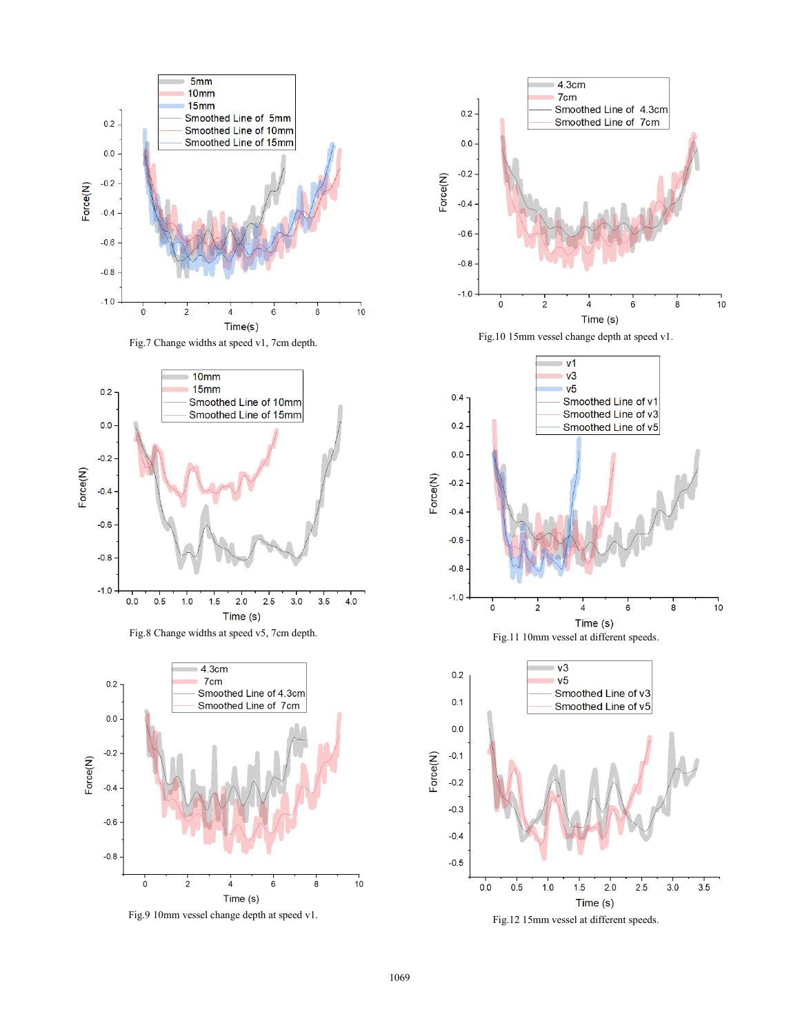





Fig.12 15mm vessel at different speeds.